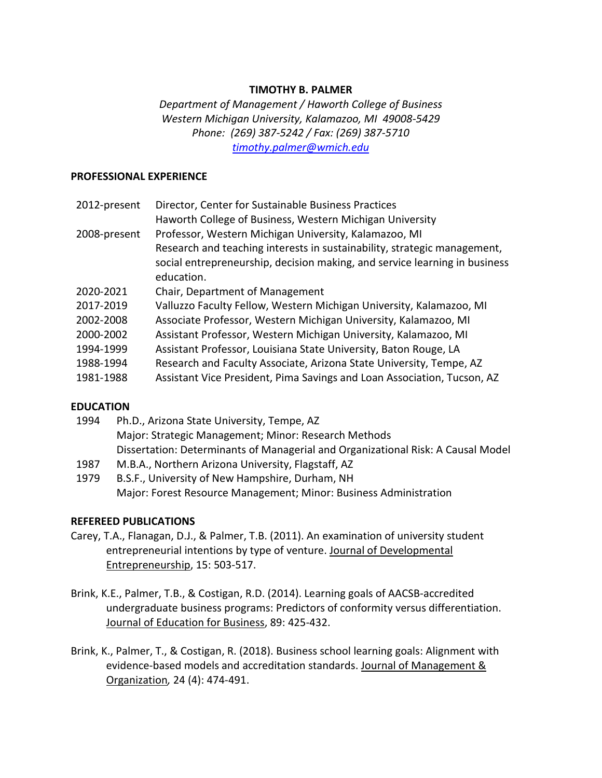### **TIMOTHY B. PALMER**

*Department of Management / Haworth College of Business Western Michigan University, Kalamazoo, MI 49008-5429 Phone: (269) 387-5242 / Fax: (269) 387-5710 [timothy.palmer@wmich.edu](mailto:timothy.palmer@wmich.edu)*

#### **PROFESSIONAL EXPERIENCE**

| 2012-present | Director, Center for Sustainable Business Practices                        |
|--------------|----------------------------------------------------------------------------|
|              | Haworth College of Business, Western Michigan University                   |
| 2008-present | Professor, Western Michigan University, Kalamazoo, MI                      |
|              | Research and teaching interests in sustainability, strategic management,   |
|              | social entrepreneurship, decision making, and service learning in business |
|              | education.                                                                 |
| 2020-2021    | Chair, Department of Management                                            |
| 2017-2019    | Valluzzo Faculty Fellow, Western Michigan University, Kalamazoo, MI        |
| 2002-2008    | Associate Professor, Western Michigan University, Kalamazoo, MI            |
| 2000-2002    | Assistant Professor, Western Michigan University, Kalamazoo, MI            |
| 1994-1999    | Assistant Professor, Louisiana State University, Baton Rouge, LA           |
| 1988-1994    | Research and Faculty Associate, Arizona State University, Tempe, AZ        |
| 1981-1988    | Assistant Vice President, Pima Savings and Loan Association, Tucson, AZ    |

#### **EDUCATION**

- 1994 Ph.D., Arizona State University, Tempe, AZ Major: Strategic Management; Minor: Research Methods Dissertation: Determinants of Managerial and Organizational Risk: A Causal Model
- 1987 M.B.A., Northern Arizona University, Flagstaff, AZ
- 1979 B.S.F., University of New Hampshire, Durham, NH Major: Forest Resource Management; Minor: Business Administration

#### **REFEREED PUBLICATIONS**

- Carey, T.A., Flanagan, D.J., & Palmer, T.B. (2011). An examination of university student entrepreneurial intentions by type of venture. Journal of Developmental Entrepreneurship, 15: 503-517.
- Brink, K.E., Palmer, T.B., & Costigan, R.D. (2014). Learning goals of AACSB-accredited undergraduate business programs: Predictors of conformity versus differentiation. Journal of Education for Business, 89: 425-432.
- Brink, K., Palmer, T., & Costigan, R. (2018). Business school learning goals: Alignment with evidence-based models and accreditation standards. Journal of Management & Organization*,* 24 (4): 474-491.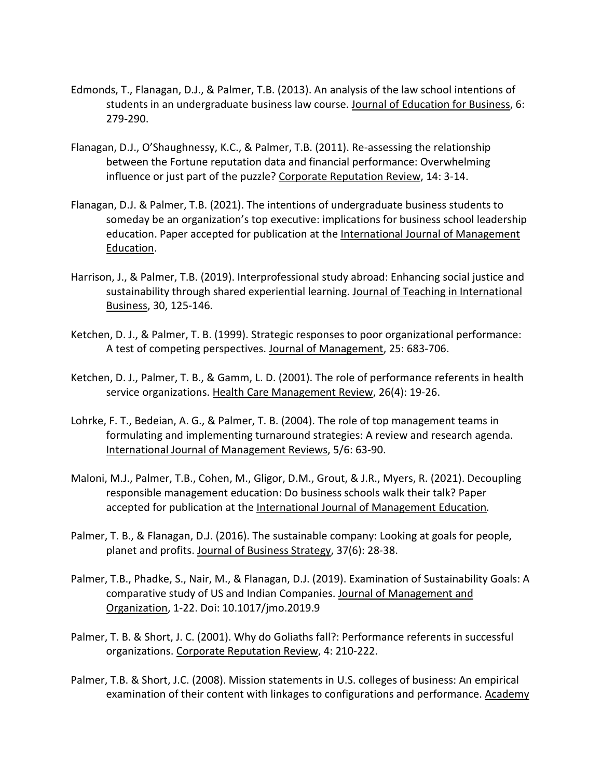- Edmonds, T., Flanagan, D.J., & Palmer, T.B. (2013). An analysis of the law school intentions of students in an undergraduate business law course. Journal of Education for Business, 6: 279-290.
- Flanagan, D.J., O'Shaughnessy, K.C., & Palmer, T.B. (2011). Re-assessing the relationship between the Fortune reputation data and financial performance: Overwhelming influence or just part of the puzzle? Corporate Reputation Review, 14: 3-14.
- Flanagan, D.J. & Palmer, T.B. (2021). The intentions of undergraduate business students to someday be an organization's top executive: implications for business school leadership education. Paper accepted for publication at the International Journal of Management Education.
- Harrison, J., & Palmer, T.B. (2019). Interprofessional study abroad: Enhancing social justice and sustainability through shared experiential learning. Journal of Teaching in International Business, 30, 125-146*.*
- Ketchen, D. J., & Palmer, T. B. (1999). Strategic responses to poor organizational performance: A test of competing perspectives. Journal of Management, 25: 683-706.
- Ketchen, D. J., Palmer, T. B., & Gamm, L. D. (2001). The role of performance referents in health service organizations. Health Care Management Review, 26(4): 19-26.
- Lohrke, F. T., Bedeian, A. G., & Palmer, T. B. (2004). The role of top management teams in formulating and implementing turnaround strategies: A review and research agenda. International Journal of Management Reviews, 5/6: 63-90.
- Maloni, M.J., Palmer, T.B., Cohen, M., Gligor, D.M., Grout, & J.R., Myers, R. (2021). Decoupling responsible management education: Do business schools walk their talk? Paper accepted for publication at the International Journal of Management Education*.*
- Palmer, T. B., & Flanagan, D.J. (2016). The sustainable company: Looking at goals for people, planet and profits. Journal of Business Strategy, 37(6): 28-38.
- Palmer, T.B., Phadke, S., Nair, M., & Flanagan, D.J. (2019). Examination of Sustainability Goals: A comparative study of US and Indian Companies. Journal of Management and Organization, 1-22. Doi: 10.1017/jmo.2019.9
- Palmer, T. B. & Short, J. C. (2001). Why do Goliaths fall?: Performance referents in successful organizations. Corporate Reputation Review, 4: 210-222.
- Palmer, T.B. & Short, J.C. (2008). Mission statements in U.S. colleges of business: An empirical examination of their content with linkages to configurations and performance. Academy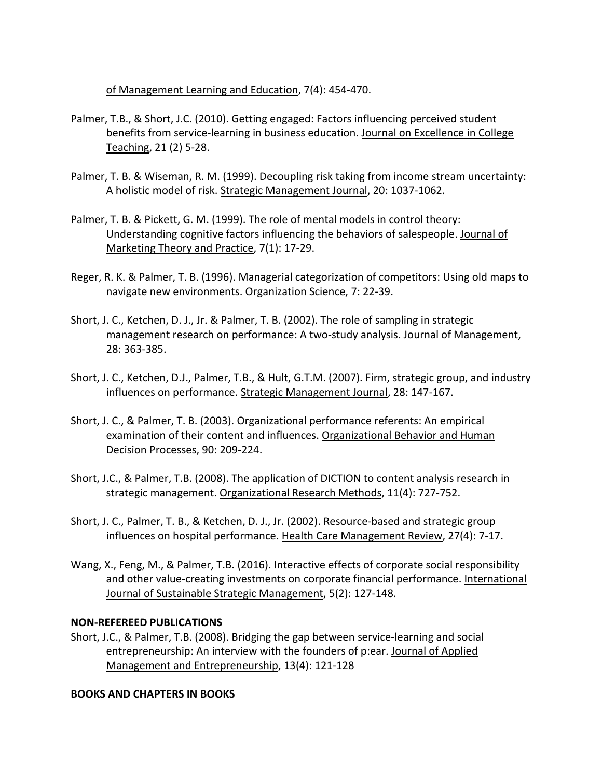of Management Learning and Education, 7(4): 454-470.

- Palmer, T.B., & Short, J.C. (2010). Getting engaged: Factors influencing perceived student benefits from service-learning in business education. Journal on Excellence in College Teaching, 21 (2) 5-28.
- Palmer, T. B. & Wiseman, R. M. (1999). Decoupling risk taking from income stream uncertainty: A holistic model of risk. Strategic Management Journal, 20: 1037-1062.
- Palmer, T. B. & Pickett, G. M. (1999). The role of mental models in control theory: Understanding cognitive factors influencing the behaviors of salespeople. Journal of Marketing Theory and Practice, 7(1): 17-29.
- Reger, R. K. & Palmer, T. B. (1996). Managerial categorization of competitors: Using old maps to navigate new environments. Organization Science, 7: 22-39.
- Short, J. C., Ketchen, D. J., Jr. & Palmer, T. B. (2002). The role of sampling in strategic management research on performance: A two-study analysis. Journal of Management, 28: 363-385.
- Short, J. C., Ketchen, D.J., Palmer, T.B., & Hult, G.T.M. (2007). Firm, strategic group, and industry influences on performance. Strategic Management Journal, 28: 147-167.
- Short, J. C., & Palmer, T. B. (2003). Organizational performance referents: An empirical examination of their content and influences. Organizational Behavior and Human Decision Processes, 90: 209-224.
- Short, J.C., & Palmer, T.B. (2008). The application of DICTION to content analysis research in strategic management. Organizational Research Methods, 11(4): 727-752.
- Short, J. C., Palmer, T. B., & Ketchen, D. J., Jr. (2002). Resource-based and strategic group influences on hospital performance. Health Care Management Review, 27(4): 7-17.
- Wang, X., Feng, M., & Palmer, T.B. (2016). Interactive effects of corporate social responsibility and other value-creating investments on corporate financial performance. International Journal of Sustainable Strategic Management, 5(2): 127-148.

## **NON-REFEREED PUBLICATIONS**

Short, J.C., & Palmer, T.B. (2008). Bridging the gap between service-learning and social entrepreneurship: An interview with the founders of p:ear. Journal of Applied Management and Entrepreneurship, 13(4): 121-128

## **BOOKS AND CHAPTERS IN BOOKS**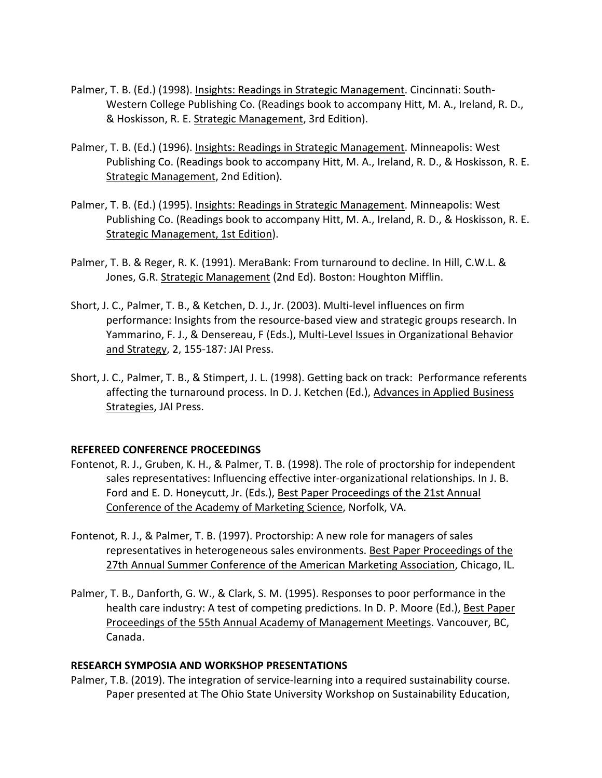- Palmer, T. B. (Ed.) (1998). Insights: Readings in Strategic Management. Cincinnati: South-Western College Publishing Co. (Readings book to accompany Hitt, M. A., Ireland, R. D., & Hoskisson, R. E. Strategic Management, 3rd Edition).
- Palmer, T. B. (Ed.) (1996). Insights: Readings in Strategic Management. Minneapolis: West Publishing Co. (Readings book to accompany Hitt, M. A., Ireland, R. D., & Hoskisson, R. E. Strategic Management, 2nd Edition).
- Palmer, T. B. (Ed.) (1995). Insights: Readings in Strategic Management. Minneapolis: West Publishing Co. (Readings book to accompany Hitt, M. A., Ireland, R. D., & Hoskisson, R. E. Strategic Management, 1st Edition).
- Palmer, T. B. & Reger, R. K. (1991). MeraBank: From turnaround to decline. In Hill, C.W.L. & Jones, G.R. Strategic Management (2nd Ed). Boston: Houghton Mifflin.
- Short, J. C., Palmer, T. B., & Ketchen, D. J., Jr. (2003). Multi-level influences on firm performance: Insights from the resource-based view and strategic groups research. In Yammarino, F. J., & Densereau, F (Eds.), Multi-Level Issues in Organizational Behavior and Strategy, 2, 155-187: JAI Press.
- Short, J. C., Palmer, T. B., & Stimpert, J. L. (1998). Getting back on track: Performance referents affecting the turnaround process. In D. J. Ketchen (Ed.), Advances in Applied Business Strategies, JAI Press.

#### **REFEREED CONFERENCE PROCEEDINGS**

- Fontenot, R. J., Gruben, K. H., & Palmer, T. B. (1998). The role of proctorship for independent sales representatives: Influencing effective inter-organizational relationships. In J. B. Ford and E. D. Honeycutt, Jr. (Eds.), Best Paper Proceedings of the 21st Annual Conference of the Academy of Marketing Science, Norfolk, VA.
- Fontenot, R. J., & Palmer, T. B. (1997). Proctorship: A new role for managers of sales representatives in heterogeneous sales environments. Best Paper Proceedings of the 27th Annual Summer Conference of the American Marketing Association, Chicago, IL.
- Palmer, T. B., Danforth, G. W., & Clark, S. M. (1995). Responses to poor performance in the health care industry: A test of competing predictions. In D. P. Moore (Ed.), Best Paper Proceedings of the 55th Annual Academy of Management Meetings. Vancouver, BC, Canada.

#### **RESEARCH SYMPOSIA AND WORKSHOP PRESENTATIONS**

Palmer, T.B. (2019). The integration of service-learning into a required sustainability course. Paper presented at The Ohio State University Workshop on Sustainability Education,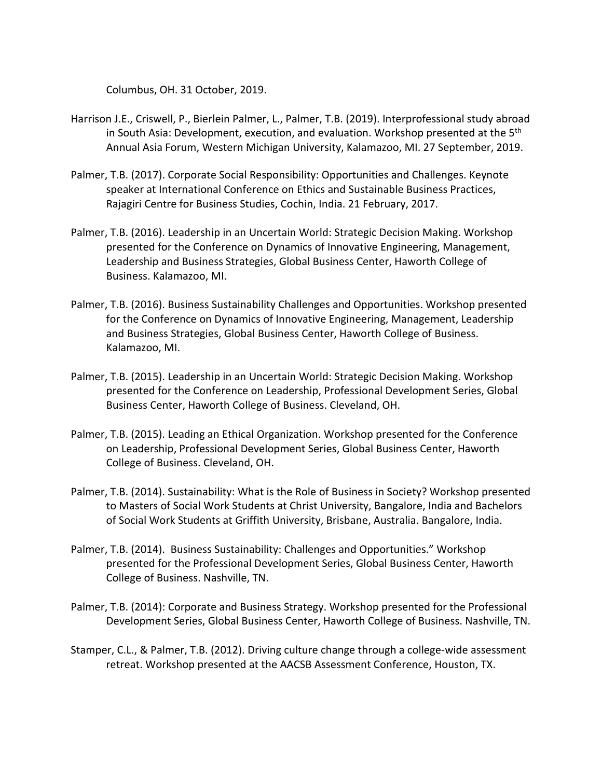Columbus, OH. 31 October, 2019.

- Harrison J.E., Criswell, P., Bierlein Palmer, L., Palmer, T.B. (2019). Interprofessional study abroad in South Asia: Development, execution, and evaluation. Workshop presented at the  $5<sup>th</sup>$ Annual Asia Forum, Western Michigan University, Kalamazoo, MI. 27 September, 2019.
- Palmer, T.B. (2017). Corporate Social Responsibility: Opportunities and Challenges. Keynote speaker at International Conference on Ethics and Sustainable Business Practices, Rajagiri Centre for Business Studies, Cochin, India. 21 February, 2017.
- Palmer, T.B. (2016). Leadership in an Uncertain World: Strategic Decision Making. Workshop presented for the Conference on Dynamics of Innovative Engineering, Management, Leadership and Business Strategies, Global Business Center, Haworth College of Business. Kalamazoo, MI.
- Palmer, T.B. (2016). Business Sustainability Challenges and Opportunities. Workshop presented for the Conference on Dynamics of Innovative Engineering, Management, Leadership and Business Strategies, Global Business Center, Haworth College of Business. Kalamazoo, MI.
- Palmer, T.B. (2015). Leadership in an Uncertain World: Strategic Decision Making. Workshop presented for the Conference on Leadership, Professional Development Series, Global Business Center, Haworth College of Business. Cleveland, OH.
- Palmer, T.B. (2015). Leading an Ethical Organization. Workshop presented for the Conference on Leadership, Professional Development Series, Global Business Center, Haworth College of Business. Cleveland, OH.
- Palmer, T.B. (2014). Sustainability: What is the Role of Business in Society? Workshop presented to Masters of Social Work Students at Christ University, Bangalore, India and Bachelors of Social Work Students at Griffith University, Brisbane, Australia. Bangalore, India.
- Palmer, T.B. (2014). Business Sustainability: Challenges and Opportunities." Workshop presented for the Professional Development Series, Global Business Center, Haworth College of Business. Nashville, TN.
- Palmer, T.B. (2014): Corporate and Business Strategy. Workshop presented for the Professional Development Series, Global Business Center, Haworth College of Business. Nashville, TN.
- Stamper, C.L., & Palmer, T.B. (2012). Driving culture change through a college-wide assessment retreat. Workshop presented at the AACSB Assessment Conference, Houston, TX.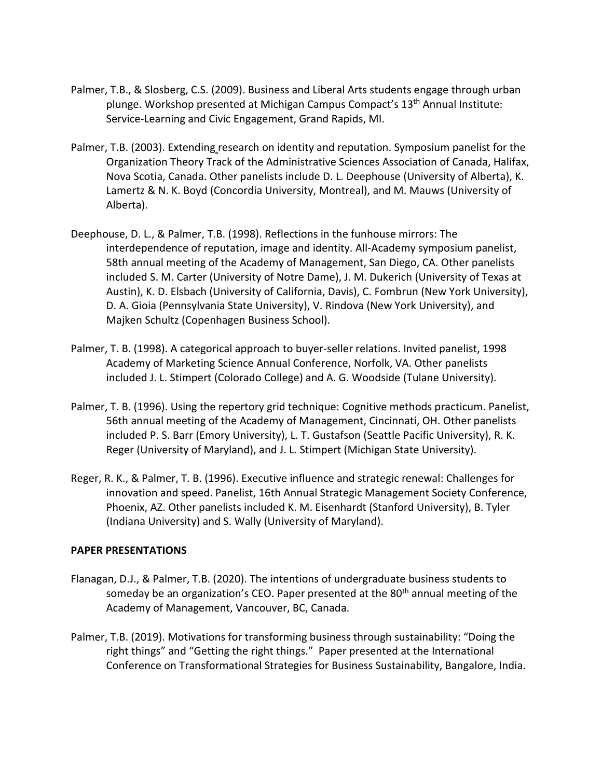- Palmer, T.B., & Slosberg, C.S. (2009). Business and Liberal Arts students engage through urban plunge. Workshop presented at Michigan Campus Compact's 13<sup>th</sup> Annual Institute: Service-Learning and Civic Engagement, Grand Rapids, MI.
- Palmer, T.B. (2003). Extending research on identity and reputation. Symposium panelist for the Organization Theory Track of the Administrative Sciences Association of Canada, Halifax, Nova Scotia, Canada. Other panelists include D. L. Deephouse (University of Alberta), K. Lamertz & N. K. Boyd (Concordia University, Montreal), and M. Mauws (University of Alberta).
- Deephouse, D. L., & Palmer, T.B. (1998). Reflections in the funhouse mirrors: The interdependence of reputation, image and identity. All-Academy symposium panelist, 58th annual meeting of the Academy of Management, San Diego, CA. Other panelists included S. M. Carter (University of Notre Dame), J. M. Dukerich (University of Texas at Austin), K. D. Elsbach (University of California, Davis), C. Fombrun (New York University), D. A. Gioia (Pennsylvania State University), V. Rindova (New York University), and Majken Schultz (Copenhagen Business School).
- Palmer, T. B. (1998). A categorical approach to buyer-seller relations. Invited panelist, 1998 Academy of Marketing Science Annual Conference, Norfolk, VA. Other panelists included J. L. Stimpert (Colorado College) and A. G. Woodside (Tulane University).
- Palmer, T. B. (1996). Using the repertory grid technique: Cognitive methods practicum. Panelist, 56th annual meeting of the Academy of Management, Cincinnati, OH. Other panelists included P. S. Barr (Emory University), L. T. Gustafson (Seattle Pacific University), R. K. Reger (University of Maryland), and J. L. Stimpert (Michigan State University).
- Reger, R. K., & Palmer, T. B. (1996). Executive influence and strategic renewal: Challenges for innovation and speed. Panelist, 16th Annual Strategic Management Society Conference, Phoenix, AZ. Other panelists included K. M. Eisenhardt (Stanford University), B. Tyler (Indiana University) and S. Wally (University of Maryland).

#### **PAPER PRESENTATIONS**

- Flanagan, D.J., & Palmer, T.B. (2020). The intentions of undergraduate business students to someday be an organization's CEO. Paper presented at the 80<sup>th</sup> annual meeting of the Academy of Management, Vancouver, BC, Canada.
- Palmer, T.B. (2019). Motivations for transforming business through sustainability: "Doing the right things" and "Getting the right things." Paper presented at the International Conference on Transformational Strategies for Business Sustainability, Bangalore, India.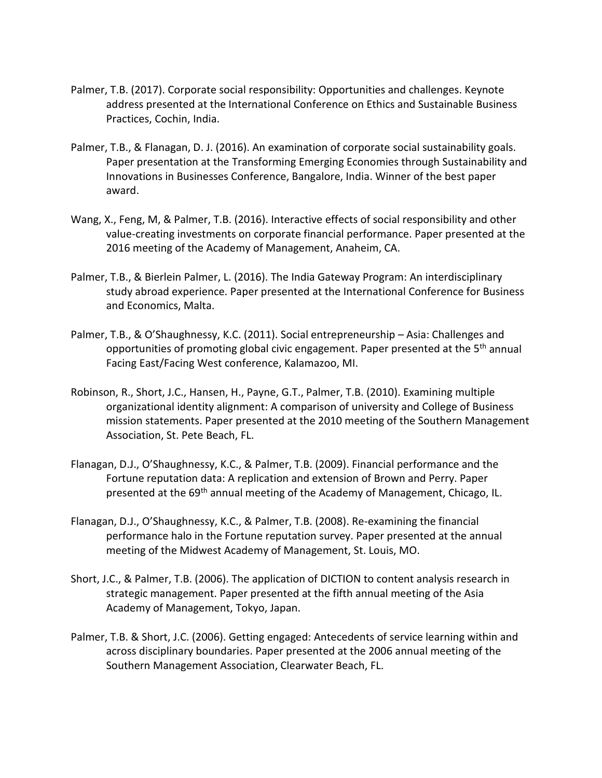- Palmer, T.B. (2017). Corporate social responsibility: Opportunities and challenges. Keynote address presented at the International Conference on Ethics and Sustainable Business Practices, Cochin, India.
- Palmer, T.B., & Flanagan, D. J. (2016). An examination of corporate social sustainability goals. Paper presentation at the Transforming Emerging Economies through Sustainability and Innovations in Businesses Conference, Bangalore, India. Winner of the best paper award.
- Wang, X., Feng, M, & Palmer, T.B. (2016). Interactive effects of social responsibility and other value-creating investments on corporate financial performance. Paper presented at the 2016 meeting of the Academy of Management, Anaheim, CA.
- Palmer, T.B., & Bierlein Palmer, L. (2016). The India Gateway Program: An interdisciplinary study abroad experience. Paper presented at the International Conference for Business and Economics, Malta.
- Palmer, T.B., & O'Shaughnessy, K.C. (2011). Social entrepreneurship Asia: Challenges and opportunities of promoting global civic engagement. Paper presented at the 5<sup>th</sup> annual Facing East/Facing West conference, Kalamazoo, MI.
- Robinson, R., Short, J.C., Hansen, H., Payne, G.T., Palmer, T.B. (2010). Examining multiple organizational identity alignment: A comparison of university and College of Business mission statements. Paper presented at the 2010 meeting of the Southern Management Association, St. Pete Beach, FL.
- Flanagan, D.J., O'Shaughnessy, K.C., & Palmer, T.B. (2009). Financial performance and the Fortune reputation data: A replication and extension of Brown and Perry. Paper presented at the 69<sup>th</sup> annual meeting of the Academy of Management, Chicago, IL.
- Flanagan, D.J., O'Shaughnessy, K.C., & Palmer, T.B. (2008). Re-examining the financial performance halo in the Fortune reputation survey. Paper presented at the annual meeting of the Midwest Academy of Management, St. Louis, MO.
- Short, J.C., & Palmer, T.B. (2006). The application of DICTION to content analysis research in strategic management. Paper presented at the fifth annual meeting of the Asia Academy of Management, Tokyo, Japan.
- Palmer, T.B. & Short, J.C. (2006). Getting engaged: Antecedents of service learning within and across disciplinary boundaries. Paper presented at the 2006 annual meeting of the Southern Management Association, Clearwater Beach, FL.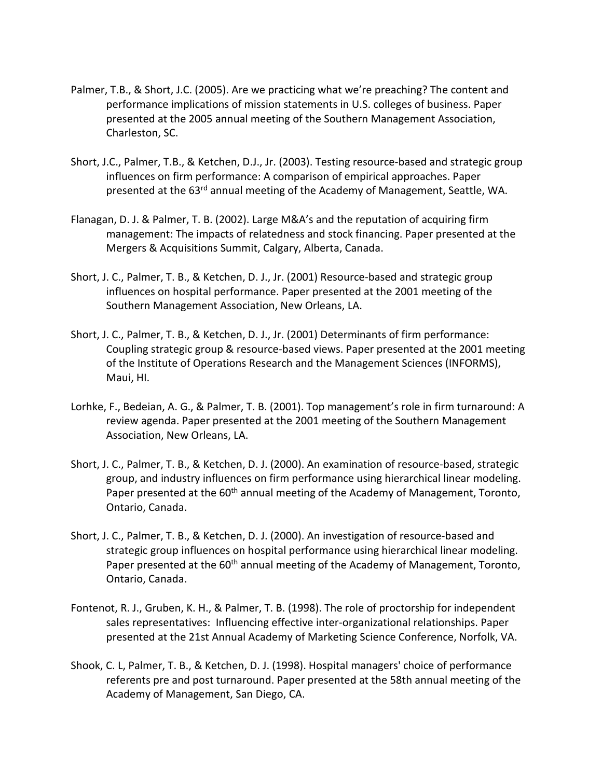- Palmer, T.B., & Short, J.C. (2005). Are we practicing what we're preaching? The content and performance implications of mission statements in U.S. colleges of business. Paper presented at the 2005 annual meeting of the Southern Management Association, Charleston, SC.
- Short, J.C., Palmer, T.B., & Ketchen, D.J., Jr. (2003). Testing resource-based and strategic group influences on firm performance: A comparison of empirical approaches. Paper presented at the 63<sup>rd</sup> annual meeting of the Academy of Management, Seattle, WA.
- Flanagan, D. J. & Palmer, T. B. (2002). Large M&A's and the reputation of acquiring firm management: The impacts of relatedness and stock financing. Paper presented at the Mergers & Acquisitions Summit, Calgary, Alberta, Canada.
- Short, J. C., Palmer, T. B., & Ketchen, D. J., Jr. (2001) Resource-based and strategic group influences on hospital performance. Paper presented at the 2001 meeting of the Southern Management Association, New Orleans, LA.
- Short, J. C., Palmer, T. B., & Ketchen, D. J., Jr. (2001) Determinants of firm performance: Coupling strategic group & resource-based views. Paper presented at the 2001 meeting of the Institute of Operations Research and the Management Sciences (INFORMS), Maui, HI.
- Lorhke, F., Bedeian, A. G., & Palmer, T. B. (2001). Top management's role in firm turnaround: A review agenda. Paper presented at the 2001 meeting of the Southern Management Association, New Orleans, LA.
- Short, J. C., Palmer, T. B., & Ketchen, D. J. (2000). An examination of resource-based, strategic group, and industry influences on firm performance using hierarchical linear modeling. Paper presented at the 60<sup>th</sup> annual meeting of the Academy of Management, Toronto, Ontario, Canada.
- Short, J. C., Palmer, T. B., & Ketchen, D. J. (2000). An investigation of resource-based and strategic group influences on hospital performance using hierarchical linear modeling. Paper presented at the 60<sup>th</sup> annual meeting of the Academy of Management, Toronto, Ontario, Canada.
- Fontenot, R. J., Gruben, K. H., & Palmer, T. B. (1998). The role of proctorship for independent sales representatives: Influencing effective inter-organizational relationships. Paper presented at the 21st Annual Academy of Marketing Science Conference, Norfolk, VA.
- Shook, C. L, Palmer, T. B., & Ketchen, D. J. (1998). Hospital managers' choice of performance referents pre and post turnaround. Paper presented at the 58th annual meeting of the Academy of Management, San Diego, CA.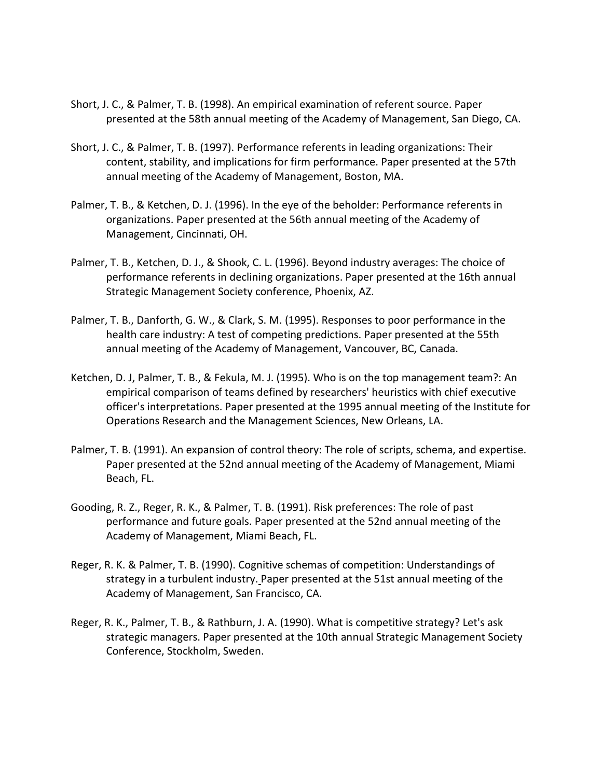- Short, J. C., & Palmer, T. B. (1998). An empirical examination of referent source. Paper presented at the 58th annual meeting of the Academy of Management, San Diego, CA.
- Short, J. C., & Palmer, T. B. (1997). Performance referents in leading organizations: Their content, stability, and implications for firm performance. Paper presented at the 57th annual meeting of the Academy of Management, Boston, MA.
- Palmer, T. B., & Ketchen, D. J. (1996). In the eye of the beholder: Performance referents in organizations. Paper presented at the 56th annual meeting of the Academy of Management, Cincinnati, OH.
- Palmer, T. B., Ketchen, D. J., & Shook, C. L. (1996). Beyond industry averages: The choice of performance referents in declining organizations. Paper presented at the 16th annual Strategic Management Society conference, Phoenix, AZ.
- Palmer, T. B., Danforth, G. W., & Clark, S. M. (1995). Responses to poor performance in the health care industry: A test of competing predictions. Paper presented at the 55th annual meeting of the Academy of Management, Vancouver, BC, Canada.
- Ketchen, D. J, Palmer, T. B., & Fekula, M. J. (1995). Who is on the top management team?: An empirical comparison of teams defined by researchers' heuristics with chief executive officer's interpretations. Paper presented at the 1995 annual meeting of the Institute for Operations Research and the Management Sciences, New Orleans, LA.
- Palmer, T. B. (1991). An expansion of control theory: The role of scripts, schema, and expertise. Paper presented at the 52nd annual meeting of the Academy of Management, Miami Beach, FL.
- Gooding, R. Z., Reger, R. K., & Palmer, T. B. (1991). Risk preferences: The role of past performance and future goals. Paper presented at the 52nd annual meeting of the Academy of Management, Miami Beach, FL.
- Reger, R. K. & Palmer, T. B. (1990). Cognitive schemas of competition: Understandings of strategy in a turbulent industry. Paper presented at the 51st annual meeting of the Academy of Management, San Francisco, CA.
- Reger, R. K., Palmer, T. B., & Rathburn, J. A. (1990). What is competitive strategy? Let's ask strategic managers. Paper presented at the 10th annual Strategic Management Society Conference, Stockholm, Sweden.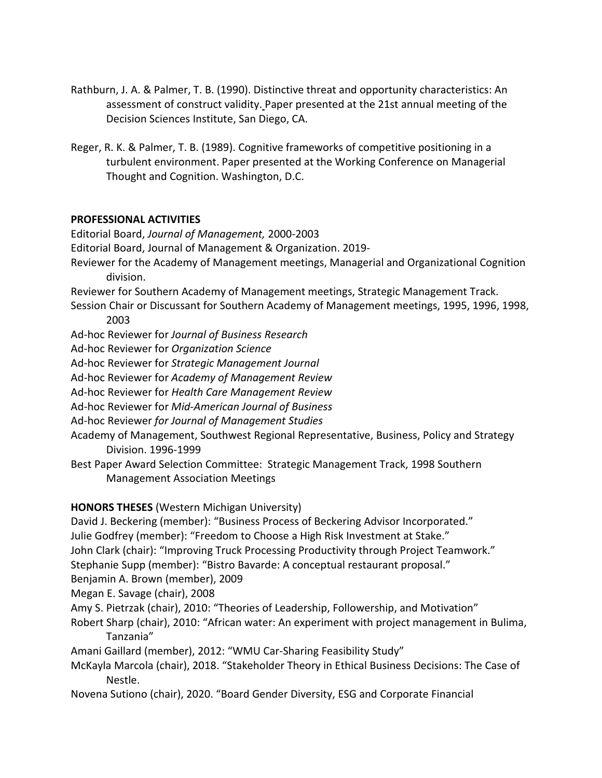- Rathburn, J. A. & Palmer, T. B. (1990). Distinctive threat and opportunity characteristics: An assessment of construct validity. Paper presented at the 21st annual meeting of the Decision Sciences Institute, San Diego, CA.
- Reger, R. K. & Palmer, T. B. (1989). Cognitive frameworks of competitive positioning in a turbulent environment. Paper presented at the Working Conference on Managerial Thought and Cognition. Washington, D.C.

### **PROFESSIONAL ACTIVITIES**

Editorial Board, *Journal of Management,* 2000-2003

Editorial Board, Journal of Management & Organization. 2019-

Reviewer for the Academy of Management meetings, Managerial and Organizational Cognition division.

Reviewer for Southern Academy of Management meetings, Strategic Management Track.

- Session Chair or Discussant for Southern Academy of Management meetings, 1995, 1996, 1998, 2003
- Ad-hoc Reviewer for *Journal of Business Research*
- Ad-hoc Reviewer for *Organization Science*
- Ad-hoc Reviewer for *Strategic Management Journal*
- Ad-hoc Reviewer for *Academy of Management Review*
- Ad-hoc Reviewer for *Health Care Management Review*
- Ad-hoc Reviewer for *Mid-American Journal of Business*
- Ad-hoc Reviewer *for Journal of Management Studies*
- Academy of Management, Southwest Regional Representative, Business, Policy and Strategy Division. 1996-1999
- Best Paper Award Selection Committee: Strategic Management Track, 1998 Southern Management Association Meetings

## **HONORS THESES** (Western Michigan University)

David J. Beckering (member): "Business Process of Beckering Advisor Incorporated."

- Julie Godfrey (member): "Freedom to Choose a High Risk Investment at Stake."
- John Clark (chair): "Improving Truck Processing Productivity through Project Teamwork."

Stephanie Supp (member): "Bistro Bavarde: A conceptual restaurant proposal."

- Benjamin A. Brown (member), 2009
- Megan E. Savage (chair), 2008
- Amy S. Pietrzak (chair), 2010: "Theories of Leadership, Followership, and Motivation"
- Robert Sharp (chair), 2010: "African water: An experiment with project management in Bulima, Tanzania"
- Amani Gaillard (member), 2012: "WMU Car-Sharing Feasibility Study"
- McKayla Marcola (chair), 2018. "Stakeholder Theory in Ethical Business Decisions: The Case of Nestle.
- Novena Sutiono (chair), 2020. "Board Gender Diversity, ESG and Corporate Financial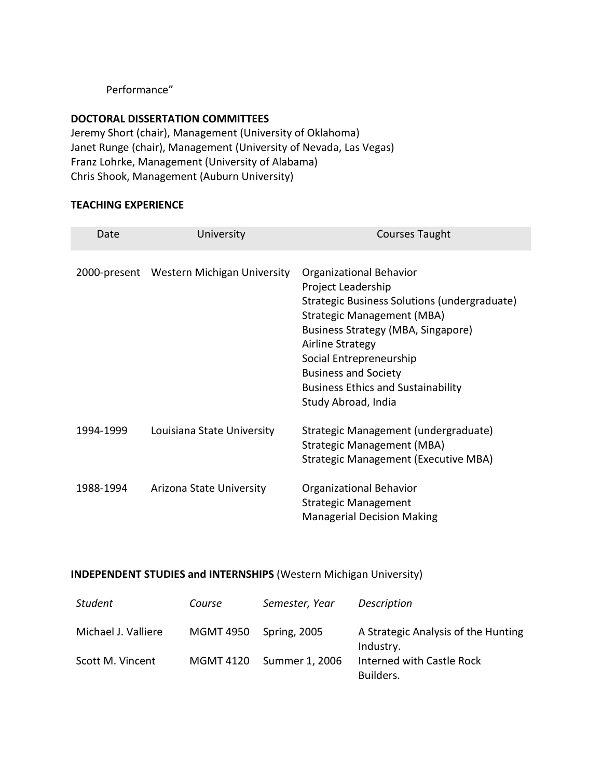### Performance"

#### **DOCTORAL DISSERTATION COMMITTEES**

Jeremy Short (chair), Management (University of Oklahoma) Janet Runge (chair), Management (University of Nevada, Las Vegas) Franz Lohrke, Management (University of Alabama) Chris Shook, Management (Auburn University)

#### **TEACHING EXPERIENCE**

| Date      | University                               | <b>Courses Taught</b>                                                                                                                                                                                                                                                                                                      |
|-----------|------------------------------------------|----------------------------------------------------------------------------------------------------------------------------------------------------------------------------------------------------------------------------------------------------------------------------------------------------------------------------|
|           | 2000-present Western Michigan University | Organizational Behavior<br>Project Leadership<br>Strategic Business Solutions (undergraduate)<br>Strategic Management (MBA)<br>Business Strategy (MBA, Singapore)<br><b>Airline Strategy</b><br>Social Entrepreneurship<br><b>Business and Society</b><br><b>Business Ethics and Sustainability</b><br>Study Abroad, India |
| 1994-1999 | Louisiana State University               | Strategic Management (undergraduate)<br>Strategic Management (MBA)<br>Strategic Management (Executive MBA)                                                                                                                                                                                                                 |
| 1988-1994 | Arizona State University                 | Organizational Behavior<br><b>Strategic Management</b><br><b>Managerial Decision Making</b>                                                                                                                                                                                                                                |

## **INDEPENDENT STUDIES and INTERNSHIPS** (Western Michigan University)

| Student             | Course           | Semester, Year      | Description                                      |
|---------------------|------------------|---------------------|--------------------------------------------------|
| Michael J. Valliere | <b>MGMT 4950</b> | <b>Spring, 2005</b> | A Strategic Analysis of the Hunting<br>Industry. |
| Scott M. Vincent    | MGMT 4120        | Summer 1, 2006      | Interned with Castle Rock<br>Builders.           |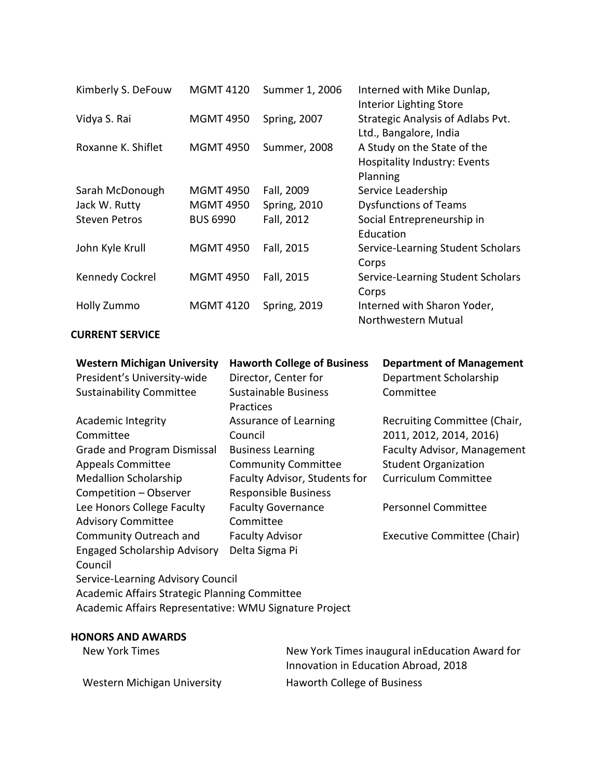| Kimberly S. DeFouw   | <b>MGMT 4120</b> | Summer 1, 2006      | Interned with Mike Dunlap,<br>Interior Lighting Store                          |
|----------------------|------------------|---------------------|--------------------------------------------------------------------------------|
| Vidya S. Rai         | <b>MGMT 4950</b> | <b>Spring, 2007</b> | Strategic Analysis of Adlabs Pvt.<br>Ltd., Bangalore, India                    |
| Roxanne K. Shiflet   | <b>MGMT 4950</b> | <b>Summer, 2008</b> | A Study on the State of the<br><b>Hospitality Industry: Events</b><br>Planning |
| Sarah McDonough      | <b>MGMT 4950</b> | Fall, 2009          | Service Leadership                                                             |
| Jack W. Rutty        | <b>MGMT 4950</b> | <b>Spring, 2010</b> | <b>Dysfunctions of Teams</b>                                                   |
| <b>Steven Petros</b> | <b>BUS 6990</b>  | Fall, 2012          | Social Entrepreneurship in<br>Education                                        |
| John Kyle Krull      | <b>MGMT 4950</b> | Fall, 2015          | Service-Learning Student Scholars<br>Corps                                     |
| Kennedy Cockrel      | <b>MGMT 4950</b> | Fall, 2015          | Service-Learning Student Scholars<br>Corps                                     |
| Holly Zummo          | <b>MGMT 4120</b> | <b>Spring, 2019</b> | Interned with Sharon Yoder,<br>Northwestern Mutual                             |

#### **CURRENT SERVICE**

| <b>Western Michigan University</b>            | <b>Haworth College of Business</b> | <b>Department of Management</b>    |
|-----------------------------------------------|------------------------------------|------------------------------------|
| President's University-wide                   | Director, Center for               | Department Scholarship             |
| <b>Sustainability Committee</b>               | <b>Sustainable Business</b>        | Committee                          |
|                                               | Practices                          |                                    |
| <b>Academic Integrity</b>                     | Assurance of Learning              | Recruiting Committee (Chair,       |
| Committee                                     | Council                            | 2011, 2012, 2014, 2016)            |
| Grade and Program Dismissal                   | <b>Business Learning</b>           | <b>Faculty Advisor, Management</b> |
| <b>Appeals Committee</b>                      | <b>Community Committee</b>         | <b>Student Organization</b>        |
| <b>Medallion Scholarship</b>                  | Faculty Advisor, Students for      | <b>Curriculum Committee</b>        |
| Competition - Observer                        | <b>Responsible Business</b>        |                                    |
| Lee Honors College Faculty                    | <b>Faculty Governance</b>          | <b>Personnel Committee</b>         |
| <b>Advisory Committee</b>                     | Committee                          |                                    |
| Community Outreach and                        | <b>Faculty Advisor</b>             | Executive Committee (Chair)        |
| <b>Engaged Scholarship Advisory</b>           | Delta Sigma Pi                     |                                    |
| Council                                       |                                    |                                    |
| Service-Learning Advisory Council             |                                    |                                    |
| Academic Affairs Strategic Planning Committee |                                    |                                    |

# **HONORS AND AWARDS**

Academic Affairs Representative: WMU Signature Project

| New York Times              | New York Times inaugural in Education Award for<br>Innovation in Education Abroad, 2018 |
|-----------------------------|-----------------------------------------------------------------------------------------|
| Western Michigan University | Haworth College of Business                                                             |